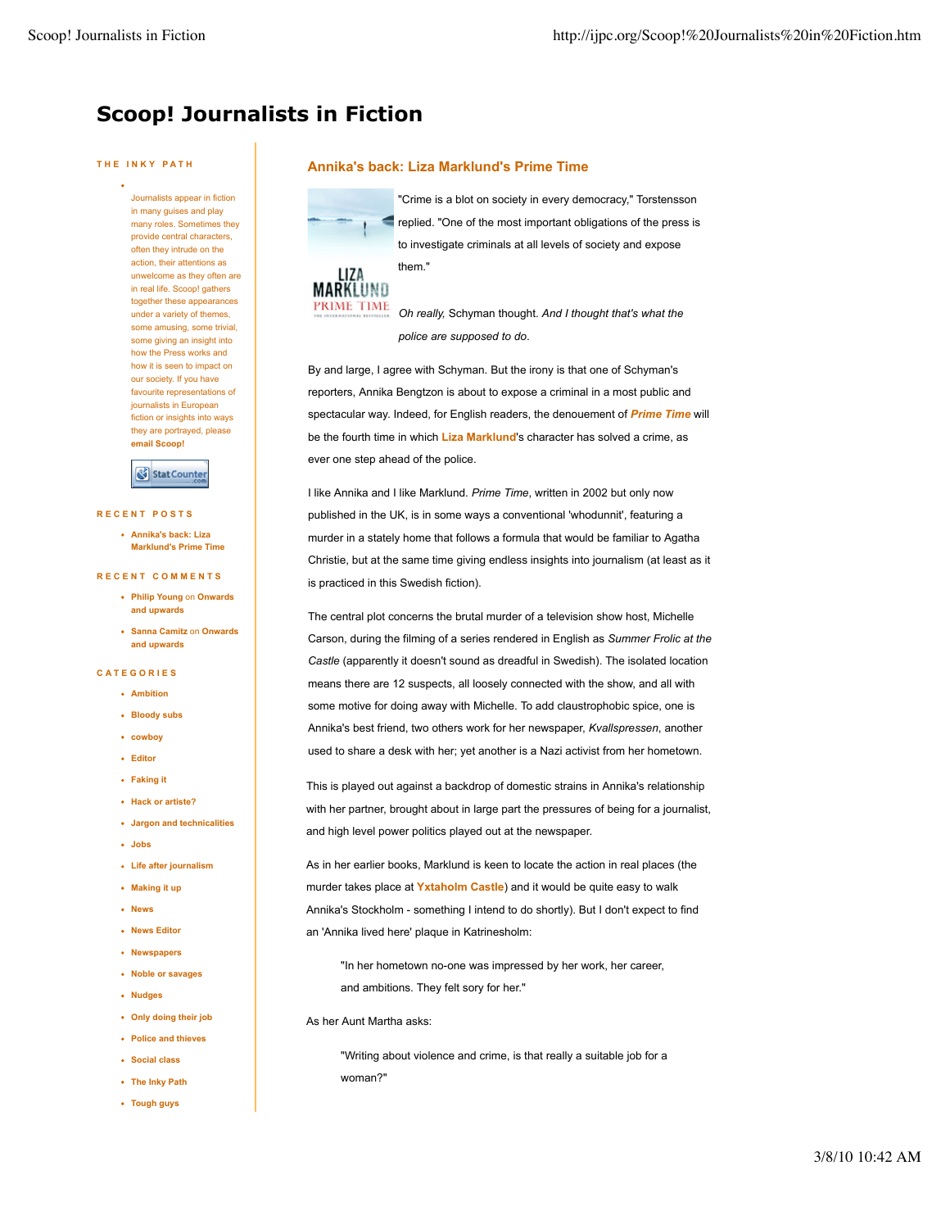# **Scoop! Journalists in Fiction**

#### **THE INKY PATH**

Journalists appear in fiction in many guises and play many roles. Sometimes they provide central characters, often they intrude on the action, their attentions as unwelcome as they often are in real life. Scoop! gathers together these appearances under a variety of themes, some amusing, some trivial, some giving an insight into how the Press works and how it is seen to impact on our society. If you have favourite representations of journalists in European fiction or insights into ways they are portrayed, please **email Scoop!**

## Stat Counter

#### **RECENT POSTS**

**Annika's back: Liza Marklund's Prime Time**

#### **RECENT COMMENTS**

- **Philip Young** on **Onwards and upwards**
- **Sanna Camitz** on **Onwards and upwards**

## **CATEGORIES**

- **Ambition**
- **Bloody subs**
- **cowboy**
- **Editor**
- **Faking it**
- **Hack or artiste?**
- **Jargon and technicalities**
- **Jobs**
- **Life after journalism**
- **Making it up**
- **News**
- **News Editor**
- **Newspapers**
- **Noble or savages**
- **Nudges**
- **Only doing their job**
- **Police and thieves**
- **Social class**
- **The Inky Path**
- **Tough guys**

## **Annika's back: Liza Marklund's Prime Time**

"Crime is a blot on society in every democracy," Torstensson replied. "One of the most important obligations of the press is to investigate criminals at all levels of society and expose them."



*Oh really,* Schyman thought. *And I thought that's what the police are supposed to do*.

By and large, I agree with Schyman. But the irony is that one of Schyman's reporters, Annika Bengtzon is about to expose a criminal in a most public and spectacular way. Indeed, for English readers, the denouement of *Prime Time* will be the fourth time in which **Liza Marklund**'s character has solved a crime, as ever one step ahead of the police.

I like Annika and I like Marklund. *Prime Time*, written in 2002 but only now published in the UK, is in some ways a conventional 'whodunnit', featuring a murder in a stately home that follows a formula that would be familiar to Agatha Christie, but at the same time giving endless insights into journalism (at least as it is practiced in this Swedish fiction).

The central plot concerns the brutal murder of a television show host, Michelle Carson, during the filming of a series rendered in English as *Summer Frolic at the Castle* (apparently it doesn't sound as dreadful in Swedish). The isolated location means there are 12 suspects, all loosely connected with the show, and all with some motive for doing away with Michelle. To add claustrophobic spice, one is Annika's best friend, two others work for her newspaper, *Kvallspressen*, another used to share a desk with her; yet another is a Nazi activist from her hometown.

This is played out against a backdrop of domestic strains in Annika's relationship with her partner, brought about in large part the pressures of being for a journalist, and high level power politics played out at the newspaper.

As in her earlier books, Marklund is keen to locate the action in real places (the murder takes place at **Yxtaholm Castle**) and it would be quite easy to walk Annika's Stockholm - something I intend to do shortly). But I don't expect to find an 'Annika lived here' plaque in Katrinesholm:

"In her hometown no-one was impressed by her work, her career, and ambitions. They felt sory for her."

As her Aunt Martha asks:

"Writing about violence and crime, is that really a suitable job for a woman?"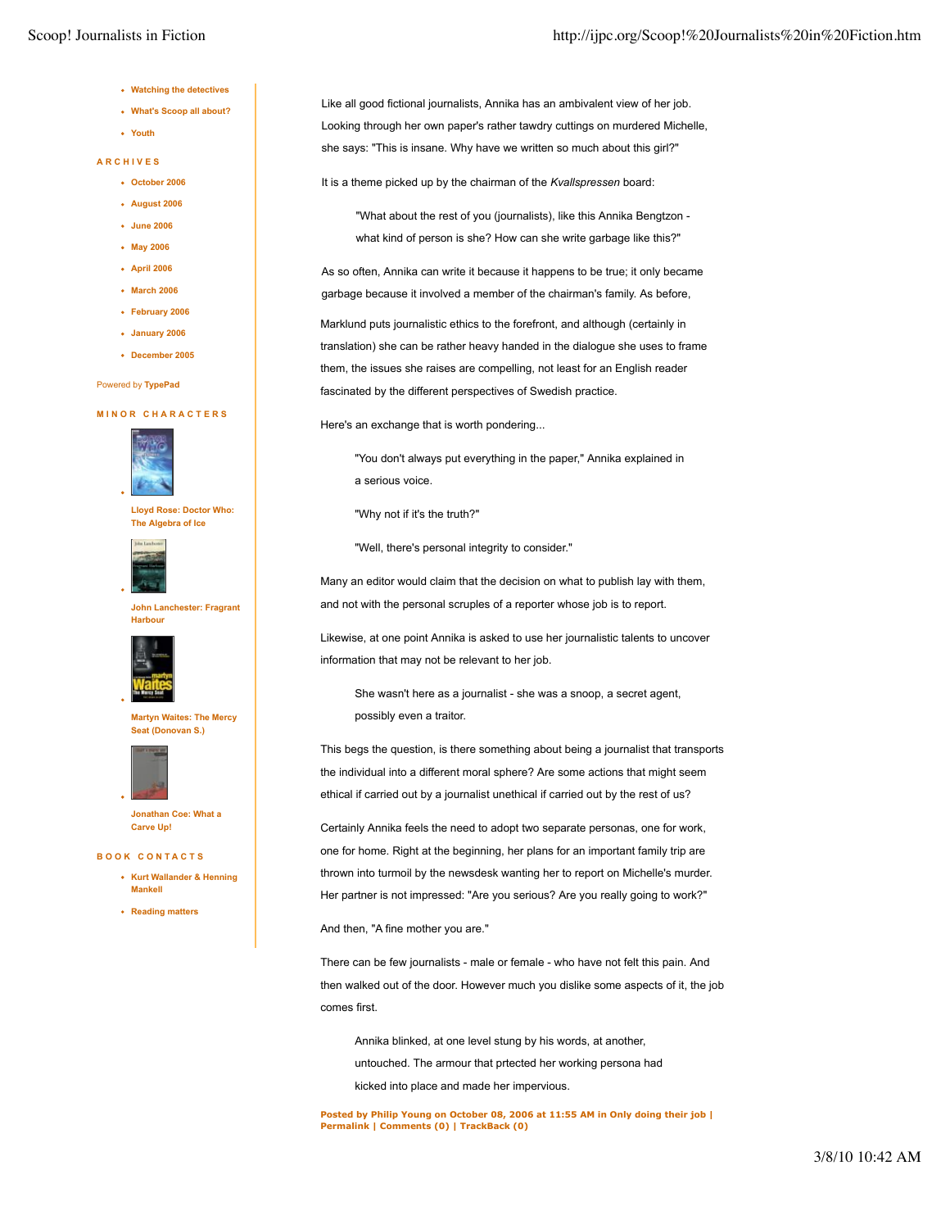- **Watching the detectives**
- **What's Scoop all about?**
- **Youth**

#### **ARCHIVES**

- **October 2006**
- **August 2006**
- **June 2006**
- **May 2006**
- **April 2006**
- **March 2006**
- **February 2006**
- **January 2006**
- **December 2005**

#### Powered by **TypePad**

#### **MINOR CHARACTERS**



**Lloyd Rose: Doctor Who: The Algebra of Ice**



**John Lanchester: Fragrant Harbour**



**Martyn Waites: The Mercy Seat (Donovan S.)**



**Jonathan Coe: What a Carve Up!**

**BOOK CONTACTS**

- **Kurt Wallander & Henning Mankell**
- **Reading matters**

Like all good fictional journalists, Annika has an ambivalent view of her job. Looking through her own paper's rather tawdry cuttings on murdered Michelle, she says: "This is insane. Why have we written so much about this girl?"

It is a theme picked up by the chairman of the *Kvallspressen* board:

"What about the rest of you (journalists), like this Annika Bengtzon what kind of person is she? How can she write garbage like this?"

As so often, Annika can write it because it happens to be true; it only became garbage because it involved a member of the chairman's family. As before,

Marklund puts journalistic ethics to the forefront, and although (certainly in translation) she can be rather heavy handed in the dialogue she uses to frame them, the issues she raises are compelling, not least for an English reader fascinated by the different perspectives of Swedish practice.

Here's an exchange that is worth pondering...

"You don't always put everything in the paper," Annika explained in a serious voice.

"Why not if it's the truth?"

"Well, there's personal integrity to consider."

Many an editor would claim that the decision on what to publish lay with them, and not with the personal scruples of a reporter whose job is to report.

Likewise, at one point Annika is asked to use her journalistic talents to uncover information that may not be relevant to her job.

She wasn't here as a journalist - she was a snoop, a secret agent, possibly even a traitor.

This begs the question, is there something about being a journalist that transports the individual into a different moral sphere? Are some actions that might seem ethical if carried out by a journalist unethical if carried out by the rest of us?

Certainly Annika feels the need to adopt two separate personas, one for work, one for home. Right at the beginning, her plans for an important family trip are thrown into turmoil by the newsdesk wanting her to report on Michelle's murder. Her partner is not impressed: "Are you serious? Are you really going to work?"

And then, "A fine mother you are."

There can be few journalists - male or female - who have not felt this pain. And then walked out of the door. However much you dislike some aspects of it, the job comes first.

Annika blinked, at one level stung by his words, at another, untouched. The armour that prtected her working persona had kicked into place and made her impervious.

**Posted by Philip Young on October 08, 2006 at 11:55 AM in Only doing their job | Permalink | Comments (0) | TrackBack (0)**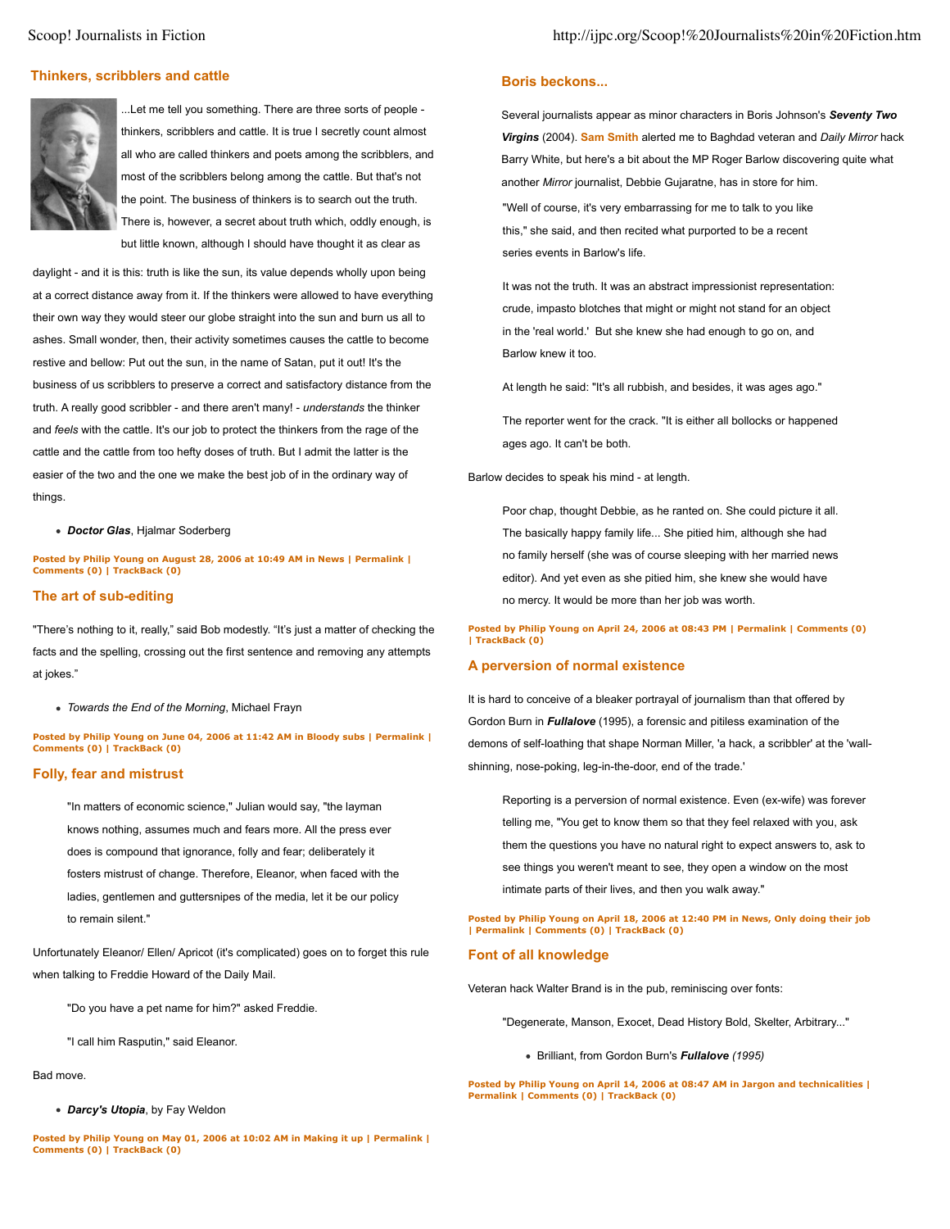## **Thinkers, scribblers and cattle**



...Let me tell you something. There are three sorts of people thinkers, scribblers and cattle. It is true I secretly count almost all who are called thinkers and poets among the scribblers, and most of the scribblers belong among the cattle. But that's not the point. The business of thinkers is to search out the truth. There is, however, a secret about truth which, oddly enough, is but little known, although I should have thought it as clear as

daylight - and it is this: truth is like the sun, its value depends wholly upon being at a correct distance away from it. If the thinkers were allowed to have everything their own way they would steer our globe straight into the sun and burn us all to ashes. Small wonder, then, their activity sometimes causes the cattle to become restive and bellow: Put out the sun, in the name of Satan, put it out! It's the business of us scribblers to preserve a correct and satisfactory distance from the truth. A really good scribbler - and there aren't many! - *understands* the thinker and *feels* with the cattle. It's our job to protect the thinkers from the rage of the cattle and the cattle from too hefty doses of truth. But I admit the latter is the easier of the two and the one we make the best job of in the ordinary way of things.

*Doctor Glas*, Hjalmar Soderberg

**Posted by Philip Young on August 28, 2006 at 10:49 AM in News | Permalink | Comments (0) | TrackBack (0)**

## **The art of sub-editing**

"There's nothing to it, really," said Bob modestly. "It's just a matter of checking the facts and the spelling, crossing out the first sentence and removing any attempts at jokes."

*Towards the End of the Morning*, Michael Frayn

**Posted by Philip Young on June 04, 2006 at 11:42 AM in Bloody subs | Permalink | Comments (0) | TrackBack (0)**

## **Folly, fear and mistrust**

"In matters of economic science," Julian would say, "the layman knows nothing, assumes much and fears more. All the press ever does is compound that ignorance, folly and fear; deliberately it fosters mistrust of change. Therefore, Eleanor, when faced with the ladies, gentlemen and guttersnipes of the media, let it be our policy to remain silent."

Unfortunately Eleanor/ Ellen/ Apricot (it's complicated) goes on to forget this rule when talking to Freddie Howard of the Daily Mail.

"Do you have a pet name for him?" asked Freddie.

"I call him Rasputin," said Eleanor.

#### Bad move.

*Darcy's Utopia*, by Fay Weldon

**Posted by Philip Young on May 01, 2006 at 10:02 AM in Making it up | Permalink | Comments (0) | TrackBack (0)**

### **Boris beckons...**

Several journalists appear as minor characters in Boris Johnson's *Seventy Two Virgins* (2004). **Sam Smith** alerted me to Baghdad veteran and *Daily Mirror* hack Barry White, but here's a bit about the MP Roger Barlow discovering quite what another *Mirror* journalist, Debbie Gujaratne, has in store for him. "Well of course, it's very embarrassing for me to talk to you like this," she said, and then recited what purported to be a recent

series events in Barlow's life.

It was not the truth. It was an abstract impressionist representation: crude, impasto blotches that might or might not stand for an object in the 'real world.' But she knew she had enough to go on, and Barlow knew it too.

At length he said: "It's all rubbish, and besides, it was ages ago."

The reporter went for the crack. "It is either all bollocks or happened ages ago. It can't be both.

Barlow decides to speak his mind - at length.

Poor chap, thought Debbie, as he ranted on. She could picture it all. The basically happy family life... She pitied him, although she had no family herself (she was of course sleeping with her married news editor). And yet even as she pitied him, she knew she would have no mercy. It would be more than her job was worth.

**Posted by Philip Young on April 24, 2006 at 08:43 PM | Permalink | Comments (0) | TrackBack (0)**

## **A perversion of normal existence**

It is hard to conceive of a bleaker portrayal of journalism than that offered by Gordon Burn in *Fullalove* (1995), a forensic and pitiless examination of the demons of self-loathing that shape Norman Miller, 'a hack, a scribbler' at the 'wallshinning, nose-poking, leg-in-the-door, end of the trade.'

Reporting is a perversion of normal existence. Even (ex-wife) was forever telling me, "You get to know them so that they feel relaxed with you, ask them the questions you have no natural right to expect answers to, ask to see things you weren't meant to see, they open a window on the most intimate parts of their lives, and then you walk away."

**Posted by Philip Young on April 18, 2006 at 12:40 PM in News, Only doing their job | Permalink | Comments (0) | TrackBack (0)**

## **Font of all knowledge**

Veteran hack Walter Brand is in the pub, reminiscing over fonts:

"Degenerate, Manson, Exocet, Dead History Bold, Skelter, Arbitrary..."

Brilliant, from Gordon Burn's *Fullalove (1995)*

**Posted by Philip Young on April 14, 2006 at 08:47 AM in Jargon and technicalities | Permalink | Comments (0) | TrackBack (0)**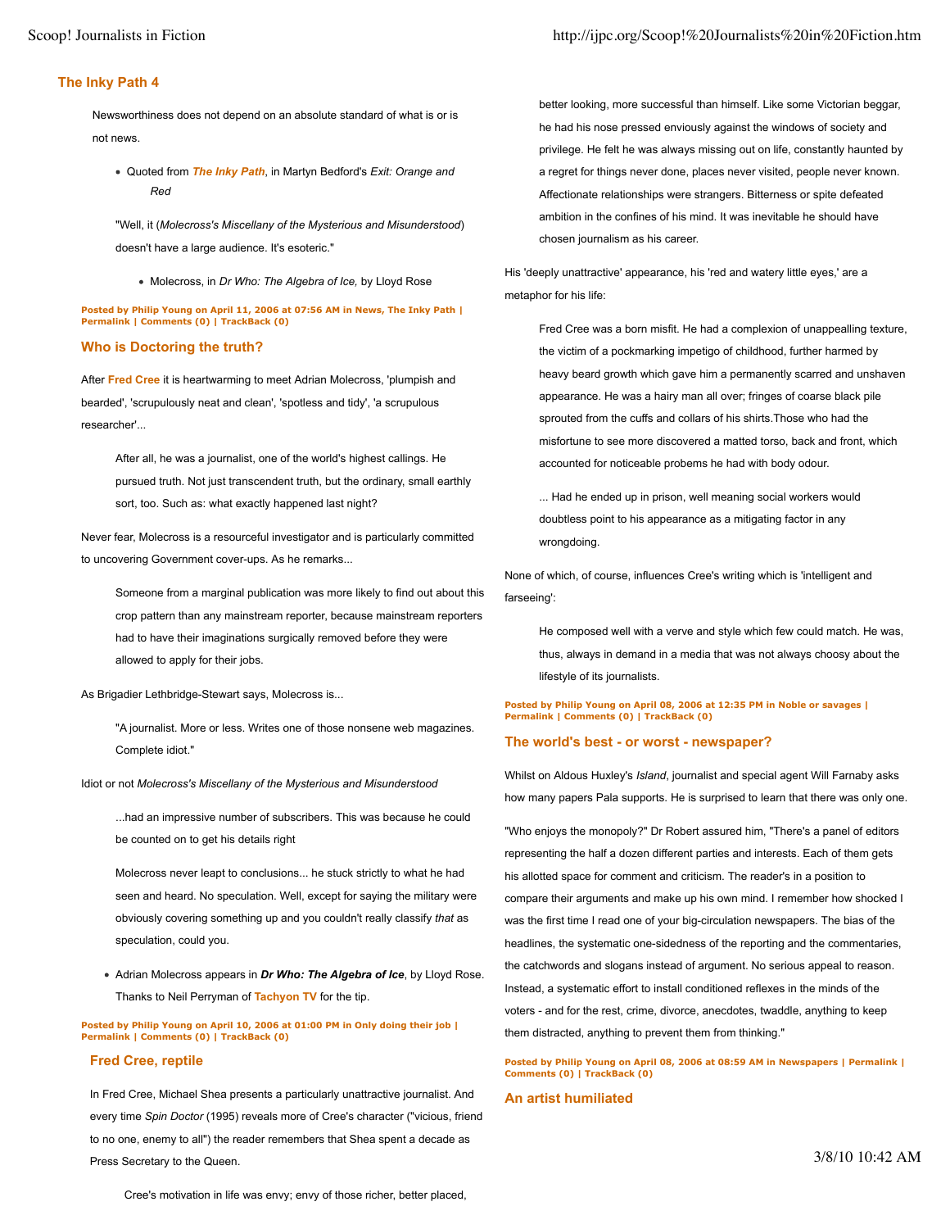## **The Inky Path 4**

Newsworthiness does not depend on an absolute standard of what is or is not news.

Quoted from *The Inky Path*, in Martyn Bedford's *Exit: Orange and Red*

"Well, it (*Molecross's Miscellany of the Mysterious and Misunderstood*) doesn't have a large audience. It's esoteric."

Molecross, in *Dr Who: The Algebra of Ice,* by Lloyd Rose

**Posted by Philip Young on April 11, 2006 at 07:56 AM in News, The Inky Path | Permalink | Comments (0) | TrackBack (0)**

## **Who is Doctoring the truth?**

After **Fred Cree** it is heartwarming to meet Adrian Molecross, 'plumpish and bearded', 'scrupulously neat and clean', 'spotless and tidy', 'a scrupulous researcher'...

After all, he was a journalist, one of the world's highest callings. He pursued truth. Not just transcendent truth, but the ordinary, small earthly sort, too. Such as: what exactly happened last night?

Never fear, Molecross is a resourceful investigator and is particularly committed to uncovering Government cover-ups. As he remarks...

Someone from a marginal publication was more likely to find out about this crop pattern than any mainstream reporter, because mainstream reporters had to have their imaginations surgically removed before they were allowed to apply for their jobs.

As Brigadier Lethbridge-Stewart says, Molecross is...

"A journalist. More or less. Writes one of those nonsene web magazines. Complete idiot."

Idiot or not *Molecross's Miscellany of the Mysterious and Misunderstood*

...had an impressive number of subscribers. This was because he could be counted on to get his details right

Molecross never leapt to conclusions... he stuck strictly to what he had seen and heard. No speculation. Well, except for saying the military were obviously covering something up and you couldn't really classify *that* as speculation, could you.

Adrian Molecross appears in *Dr Who: The Algebra of Ice*, by Lloyd Rose. Thanks to Neil Perryman of **Tachyon TV** for the tip.

**Posted by Philip Young on April 10, 2006 at 01:00 PM in Only doing their job | Permalink | Comments (0) | TrackBack (0)**

## **Fred Cree, reptile**

In Fred Cree, Michael Shea presents a particularly unattractive journalist. And every time *Spin Doctor* (1995) reveals more of Cree's character ("vicious, friend to no one, enemy to all") the reader remembers that Shea spent a decade as Press Secretary to the Queen.

better looking, more successful than himself. Like some Victorian beggar, he had his nose pressed enviously against the windows of society and privilege. He felt he was always missing out on life, constantly haunted by a regret for things never done, places never visited, people never known. Affectionate relationships were strangers. Bitterness or spite defeated ambition in the confines of his mind. It was inevitable he should have chosen journalism as his career.

His 'deeply unattractive' appearance, his 'red and watery little eyes,' are a metaphor for his life:

Fred Cree was a born misfit. He had a complexion of unappealling texture, the victim of a pockmarking impetigo of childhood, further harmed by heavy beard growth which gave him a permanently scarred and unshaven appearance. He was a hairy man all over; fringes of coarse black pile sprouted from the cuffs and collars of his shirts.Those who had the misfortune to see more discovered a matted torso, back and front, which accounted for noticeable probems he had with body odour.

... Had he ended up in prison, well meaning social workers would doubtless point to his appearance as a mitigating factor in any wrongdoing.

None of which, of course, influences Cree's writing which is 'intelligent and farseeing':

He composed well with a verve and style which few could match. He was, thus, always in demand in a media that was not always choosy about the lifestyle of its journalists.

#### **Posted by Philip Young on April 08, 2006 at 12:35 PM in Noble or savages | Permalink | Comments (0) | TrackBack (0)**

## **The world's best - or worst - newspaper?**

Whilst on Aldous Huxley's *Island*, journalist and special agent Will Farnaby asks how many papers Pala supports. He is surprised to learn that there was only one.

"Who enjoys the monopoly?" Dr Robert assured him, "There's a panel of editors representing the half a dozen different parties and interests. Each of them gets his allotted space for comment and criticism. The reader's in a position to compare their arguments and make up his own mind. I remember how shocked I was the first time I read one of your big-circulation newspapers. The bias of the headlines, the systematic one-sidedness of the reporting and the commentaries, the catchwords and slogans instead of argument. No serious appeal to reason. Instead, a systematic effort to install conditioned reflexes in the minds of the voters - and for the rest, crime, divorce, anecdotes, twaddle, anything to keep them distracted, anything to prevent them from thinking."

**Posted by Philip Young on April 08, 2006 at 08:59 AM in Newspapers | Permalink | Comments (0) | TrackBack (0)**

## **An artist humiliated**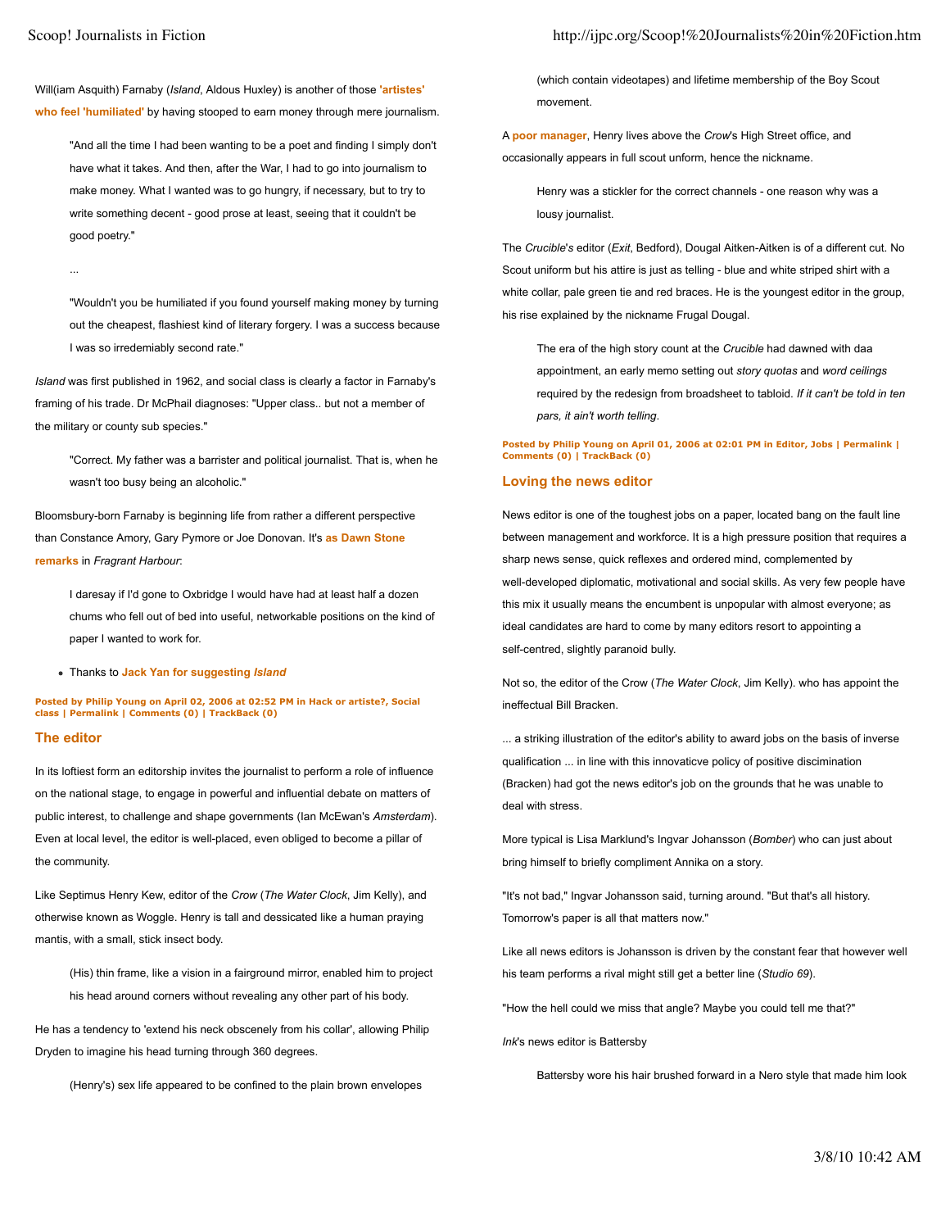...

Will(iam Asquith) Farnaby (*Island*, Aldous Huxley) is another of those **'artistes' who feel 'humiliated'** by having stooped to earn money through mere journalism.

"And all the time I had been wanting to be a poet and finding I simply don't have what it takes. And then, after the War, I had to go into journalism to make money. What I wanted was to go hungry, if necessary, but to try to write something decent - good prose at least, seeing that it couldn't be good poetry."

"Wouldn't you be humiliated if you found yourself making money by turning out the cheapest, flashiest kind of literary forgery. I was a success because I was so irredemiably second rate."

*Island* was first published in 1962, and social class is clearly a factor in Farnaby's framing of his trade. Dr McPhail diagnoses: "Upper class.. but not a member of the military or county sub species."

"Correct. My father was a barrister and political journalist. That is, when he wasn't too busy being an alcoholic."

Bloomsbury-born Farnaby is beginning life from rather a different perspective than Constance Amory, Gary Pymore or Joe Donovan. It's **as Dawn Stone remarks** in *Fragrant Harbour*:

I daresay if I'd gone to Oxbridge I would have had at least half a dozen chums who fell out of bed into useful, networkable positions on the kind of paper I wanted to work for.

Thanks to **Jack Yan for suggesting** *Island*

**Posted by Philip Young on April 02, 2006 at 02:52 PM in Hack or artiste?, Social class | Permalink | Comments (0) | TrackBack (0)**

## **The editor**

In its loftiest form an editorship invites the journalist to perform a role of influence on the national stage, to engage in powerful and influential debate on matters of public interest, to challenge and shape governments (Ian McEwan's *Amsterdam*). Even at local level, the editor is well-placed, even obliged to become a pillar of the community.

Like Septimus Henry Kew, editor of the *Crow* (*The Water Clock*, Jim Kelly), and otherwise known as Woggle. Henry is tall and dessicated like a human praying mantis, with a small, stick insect body.

(His) thin frame, like a vision in a fairground mirror, enabled him to project his head around corners without revealing any other part of his body.

He has a tendency to 'extend his neck obscenely from his collar', allowing Philip Dryden to imagine his head turning through 360 degrees.

(Henry's) sex life appeared to be confined to the plain brown envelopes

(which contain videotapes) and lifetime membership of the Boy Scout movement.

A **poor manager**, Henry lives above the *Crow*'s High Street office, and occasionally appears in full scout unform, hence the nickname.

Henry was a stickler for the correct channels - one reason why was a lousy journalist.

The *Crucible*'*s* editor (*Exit*, Bedford), Dougal Aitken-Aitken is of a different cut. No Scout uniform but his attire is just as telling - blue and white striped shirt with a white collar, pale green tie and red braces. He is the youngest editor in the group, his rise explained by the nickname Frugal Dougal.

The era of the high story count at the *Crucible* had dawned with daa appointment, an early memo setting out *story quotas* and *word ceilings* required by the redesign from broadsheet to tabloid. *If it can't be told in ten pars, it ain't worth telling*.

## **Posted by Philip Young on April 01, 2006 at 02:01 PM in Editor, Jobs | Permalink | Comments (0) | TrackBack (0)**

#### **Loving the news editor**

News editor is one of the toughest jobs on a paper, located bang on the fault line between management and workforce. It is a high pressure position that requires a sharp news sense, quick reflexes and ordered mind, complemented by well-developed diplomatic, motivational and social skills. As very few people have this mix it usually means the encumbent is unpopular with almost everyone; as ideal candidates are hard to come by many editors resort to appointing a self-centred, slightly paranoid bully.

Not so, the editor of the Crow (*The Water Clock*, Jim Kelly). who has appoint the ineffectual Bill Bracken.

... a striking illustration of the editor's ability to award jobs on the basis of inverse qualification ... in line with this innovaticve policy of positive discimination (Bracken) had got the news editor's job on the grounds that he was unable to deal with stress.

More typical is Lisa Marklund's Ingvar Johansson (*Bomber*) who can just about bring himself to briefly compliment Annika on a story.

"It's not bad," Ingvar Johansson said, turning around. "But that's all history. Tomorrow's paper is all that matters now."

Like all news editors is Johansson is driven by the constant fear that however well his team performs a rival might still get a better line (*Studio 69*).

"How the hell could we miss that angle? Maybe you could tell me that?"

*Ink*'s news editor is Battersby

Battersby wore his hair brushed forward in a Nero style that made him look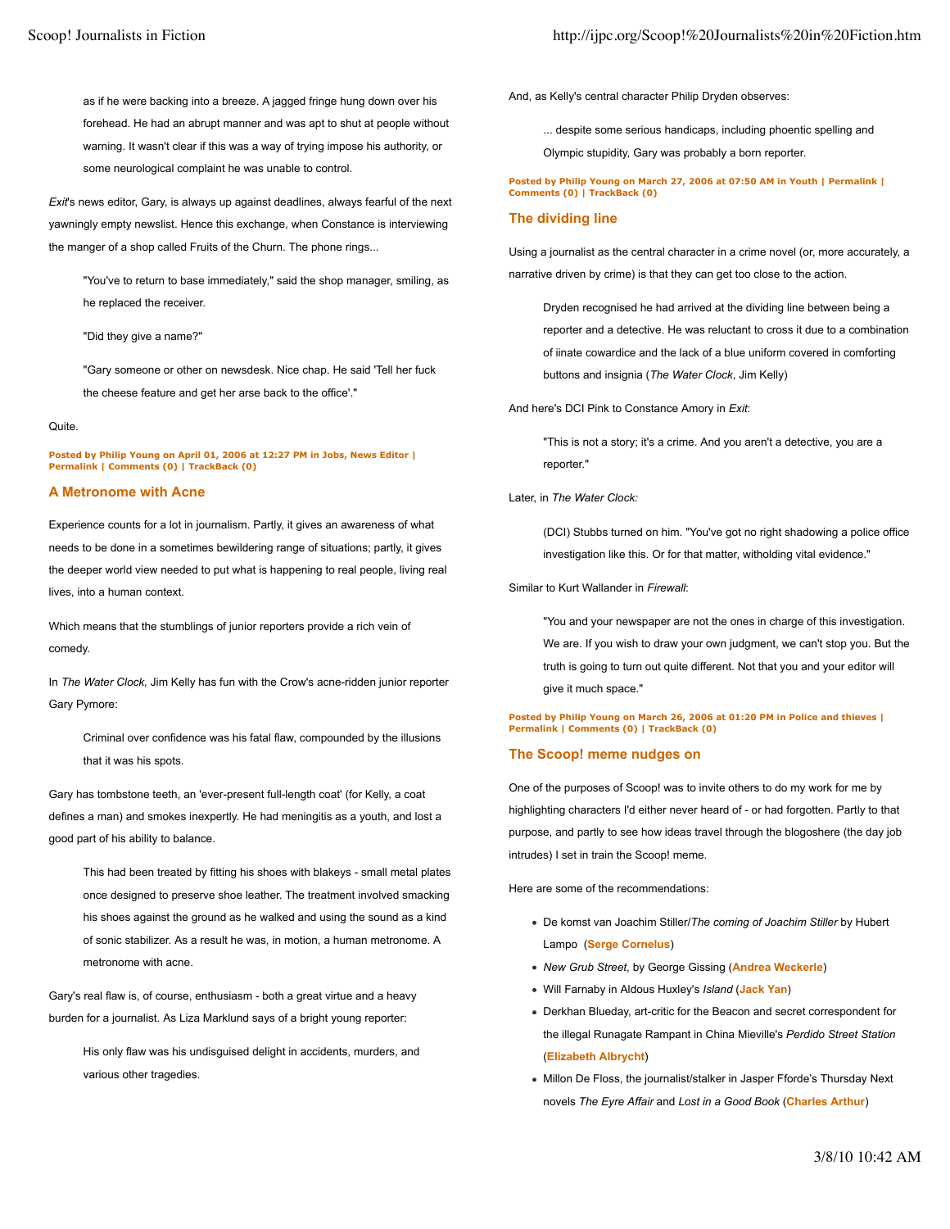as if he were backing into a breeze. A jagged fringe hung down over his forehead. He had an abrupt manner and was apt to shut at people without warning. It wasn't clear if this was a way of trying impose his authority, or some neurological complaint he was unable to control.

*Exit*'s news editor, Gary, is always up against deadlines, always fearful of the next yawningly empty newslist. Hence this exchange, when Constance is interviewing the manger of a shop called Fruits of the Churn. The phone rings...

"You've to return to base immediately," said the shop manager, smiling, as he replaced the receiver.

"Did they give a name?"

"Gary someone or other on newsdesk. Nice chap. He said 'Tell her fuck the cheese feature and get her arse back to the office'."

#### Quite.

**Posted by Philip Young on April 01, 2006 at 12:27 PM in Jobs, News Editor | Permalink | Comments (0) | TrackBack (0)**

## **A Metronome with Acne**

Experience counts for a lot in journalism. Partly, it gives an awareness of what needs to be done in a sometimes bewildering range of situations; partly, it gives the deeper world view needed to put what is happening to real people, living real lives, into a human context.

Which means that the stumblings of junior reporters provide a rich vein of comedy.

In *The Water Clock,* Jim Kelly has fun with the Crow's acne-ridden junior reporter Gary Pymore:

Criminal over confidence was his fatal flaw, compounded by the illusions that it was his spots.

Gary has tombstone teeth, an 'ever-present full-length coat' (for Kelly, a coat defines a man) and smokes inexpertly. He had meningitis as a youth, and lost a good part of his ability to balance.

This had been treated by fitting his shoes with blakeys - small metal plates once designed to preserve shoe leather. The treatment involved smacking his shoes against the ground as he walked and using the sound as a kind of sonic stabilizer. As a result he was, in motion, a human metronome. A metronome with acne.

Gary's real flaw is, of course, enthusiasm - both a great virtue and a heavy burden for a journalist. As Liza Marklund says of a bright young reporter:

His only flaw was his undisguised delight in accidents, murders, and various other tragedies.

And, as Kelly's central character Philip Dryden observes:

... despite some serious handicaps, including phoentic spelling and

Olympic stupidity, Gary was probably a born reporter.

#### **Posted by Philip Young on March 27, 2006 at 07:50 AM in Youth | Permalink | Comments (0) | TrackBack (0)**

#### **The dividing line**

Using a journalist as the central character in a crime novel (or, more accurately, a narrative driven by crime) is that they can get too close to the action.

Dryden recognised he had arrived at the dividing line between being a reporter and a detective. He was reluctant to cross it due to a combination of iinate cowardice and the lack of a blue uniform covered in comforting buttons and insignia (*The Water Clock*, Jim Kelly)

And here's DCI Pink to Constance Amory in *Exit*:

"This is not a story; it's a crime. And you aren't a detective, you are a reporter."

#### Later, in *The Water Clock:*

(DCI) Stubbs turned on him. "You've got no right shadowing a police office investigation like this. Or for that matter, witholding vital evidence."

Similar to Kurt Wallander in *Firewall*:

"You and your newspaper are not the ones in charge of this investigation. We are. If you wish to draw your own judgment, we can't stop you. But the truth is going to turn out quite different. Not that you and your editor will give it much space."

**Posted by Philip Young on March 26, 2006 at 01:20 PM in Police and thieves | Permalink | Comments (0) | TrackBack (0)**

#### **The Scoop! meme nudges on**

One of the purposes of Scoop! was to invite others to do my work for me by highlighting characters I'd either never heard of - or had forgotten. Partly to that purpose, and partly to see how ideas travel through the blogoshere (the day job intrudes) I set in train the Scoop! meme.

Here are some of the recommendations:

- De komst van Joachim Stiller/*The coming of Joachim Stiller* by Hubert Lampo (**Serge Cornelus**)
- *New Grub Street*, by George Gissing (**Andrea Weckerle**)
- Will Farnaby in Aldous Huxley's *Island* (**Jack Yan**)
- Derkhan Blueday, art-critic for the Beacon and secret correspondent for the illegal Runagate Rampant in China Mieville's *Perdido Street Station* (**Elizabeth Albrycht**)
- Millon De Floss, the journalist/stalker in Jasper Fforde's Thursday Next novels *The Eyre Affair* and *Lost in a Good Book* (**Charles Arthur**)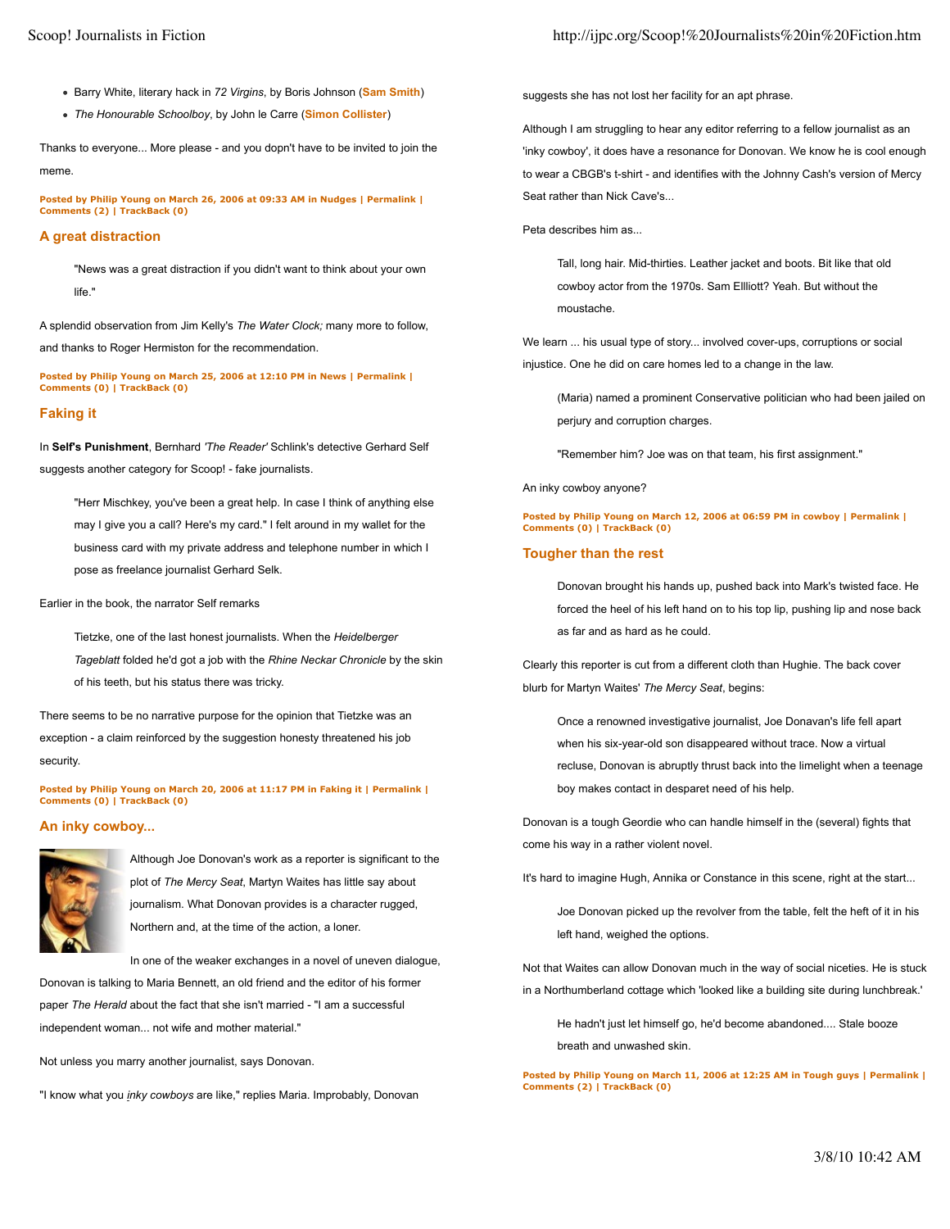- Barry White, literary hack in *72 Virgins*, by Boris Johnson (**Sam Smith**)
- *The Honourable Schoolboy*, by John le Carre (**Simon Collister**)

Thanks to everyone... More please - and you dopn't have to be invited to join the meme.

**Posted by Philip Young on March 26, 2006 at 09:33 AM in Nudges | Permalink | Comments (2) | TrackBack (0)**

## **A great distraction**

"News was a great distraction if you didn't want to think about your own life."

A splendid observation from Jim Kelly's *The Water Clock;* many more to follow, and thanks to Roger Hermiston for the recommendation.

**Posted by Philip Young on March 25, 2006 at 12:10 PM in News | Permalink | Comments (0) | TrackBack (0)**

## **Faking it**

In **Self's Punishment**, Bernhard *'The Reader'* Schlink's detective Gerhard Self suggests another category for Scoop! - fake journalists.

"Herr Mischkey, you've been a great help. In case I think of anything else may I give you a call? Here's my card." I felt around in my wallet for the business card with my private address and telephone number in which I pose as freelance journalist Gerhard Selk.

#### Earlier in the book, the narrator Self remarks

Tietzke, one of the last honest journalists. When the *Heidelberger Tageblatt* folded he'd got a job with the *Rhine Neckar Chronicle* by the skin of his teeth, but his status there was tricky.

There seems to be no narrative purpose for the opinion that Tietzke was an exception - a claim reinforced by the suggestion honesty threatened his job security.

**Posted by Philip Young on March 20, 2006 at 11:17 PM in Faking it | Permalink | Comments (0) | TrackBack (0)**

## **An inky cowboy...**



Although Joe Donovan's work as a reporter is significant to the plot of *The Mercy Seat*, Martyn Waites has little say about journalism. What Donovan provides is a character rugged, Northern and, at the time of the action, a loner.

In one of the weaker exchanges in a novel of uneven dialogue,

Donovan is talking to Maria Bennett, an old friend and the editor of his former paper *The Herald* about the fact that she isn't married - "I am a successful independent woman... not wife and mother material."

Not unless you marry another journalist, says Donovan.

"I know what you *inky cowboys* are like," replies Maria. Improbably, Donovan

suggests she has not lost her facility for an apt phrase.

Although I am struggling to hear any editor referring to a fellow journalist as an 'inky cowboy', it does have a resonance for Donovan. We know he is cool enough to wear a CBGB's t-shirt - and identifies with the Johnny Cash's version of Mercy Seat rather than Nick Cave's...

Peta describes him as...

Tall, long hair. Mid-thirties. Leather jacket and boots. Bit like that old cowboy actor from the 1970s. Sam Ellliott? Yeah. But without the moustache.

We learn ... his usual type of story... involved cover-ups, corruptions or social injustice. One he did on care homes led to a change in the law.

(Maria) named a prominent Conservative politician who had been jailed on perjury and corruption charges.

"Remember him? Joe was on that team, his first assignment."

An inky cowboy anyone?

**Posted by Philip Young on March 12, 2006 at 06:59 PM in cowboy | Permalink | Comments (0) | TrackBack (0)**

## **Tougher than the rest**

Donovan brought his hands up, pushed back into Mark's twisted face. He forced the heel of his left hand on to his top lip, pushing lip and nose back as far and as hard as he could.

Clearly this reporter is cut from a different cloth than Hughie. The back cover blurb for Martyn Waites' *The Mercy Seat*, begins:

Once a renowned investigative journalist, Joe Donavan's life fell apart when his six-year-old son disappeared without trace. Now a virtual recluse, Donovan is abruptly thrust back into the limelight when a teenage boy makes contact in desparet need of his help.

Donovan is a tough Geordie who can handle himself in the (several) fights that come his way in a rather violent novel.

It's hard to imagine Hugh, Annika or Constance in this scene, right at the start...

Joe Donovan picked up the revolver from the table, felt the heft of it in his left hand, weighed the options.

Not that Waites can allow Donovan much in the way of social niceties. He is stuck in a Northumberland cottage which 'looked like a building site during lunchbreak.'

He hadn't just let himself go, he'd become abandoned.... Stale booze breath and unwashed skin.

**Posted by Philip Young on March 11, 2006 at 12:25 AM in Tough guys | Permalink | Comments (2) | TrackBack (0)**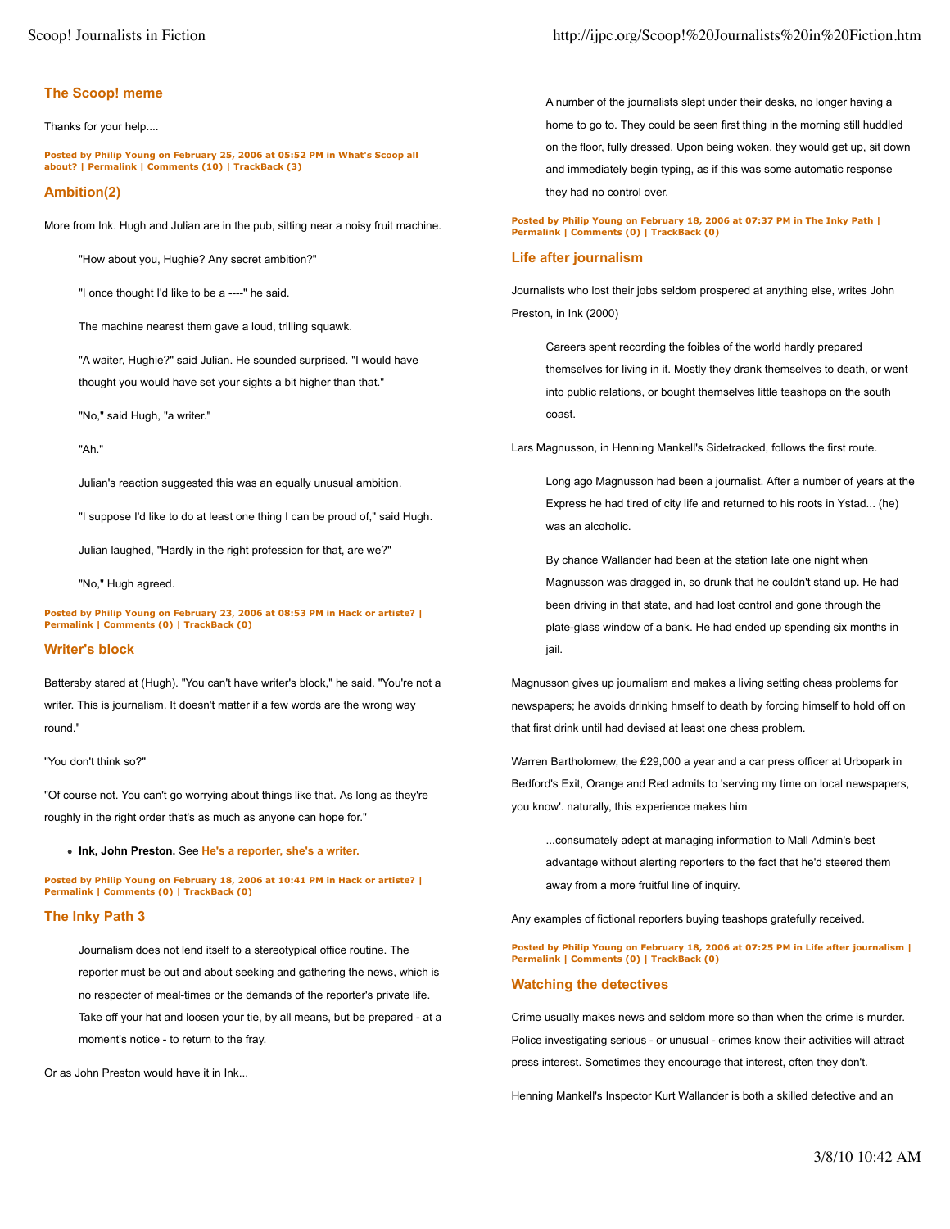## **The Scoop! meme**

Thanks for your help....

**Posted by Philip Young on February 25, 2006 at 05:52 PM in What's Scoop all about? | Permalink | Comments (10) | TrackBack (3)**

## **Ambition(2)**

More from Ink. Hugh and Julian are in the pub, sitting near a noisy fruit machine.

"How about you, Hughie? Any secret ambition?"

"I once thought I'd like to be a ----" he said.

The machine nearest them gave a loud, trilling squawk.

"A waiter, Hughie?" said Julian. He sounded surprised. "I would have thought you would have set your sights a bit higher than that."

"No," said Hugh, "a writer."

"Ah."

Julian's reaction suggested this was an equally unusual ambition.

"I suppose I'd like to do at least one thing I can be proud of," said Hugh.

Julian laughed, "Hardly in the right profession for that, are we?"

"No," Hugh agreed.

**Posted by Philip Young on February 23, 2006 at 08:53 PM in Hack or artiste? | Permalink | Comments (0) | TrackBack (0)**

## **Writer's block**

Battersby stared at (Hugh). "You can't have writer's block," he said. "You're not a writer. This is journalism. It doesn't matter if a few words are the wrong way round."

#### "You don't think so?"

"Of course not. You can't go worrying about things like that. As long as they're roughly in the right order that's as much as anyone can hope for."

**Ink, John Preston.** See **He's a reporter, she's a writer.**

**Posted by Philip Young on February 18, 2006 at 10:41 PM in Hack or artiste? | Permalink | Comments (0) | TrackBack (0)**

## **The Inky Path 3**

Journalism does not lend itself to a stereotypical office routine. The reporter must be out and about seeking and gathering the news, which is no respecter of meal-times or the demands of the reporter's private life. Take off your hat and loosen your tie, by all means, but be prepared - at a moment's notice - to return to the fray.

Or as John Preston would have it in Ink...

A number of the journalists slept under their desks, no longer having a home to go to. They could be seen first thing in the morning still huddled on the floor, fully dressed. Upon being woken, they would get up, sit down and immediately begin typing, as if this was some automatic response they had no control over.

## **Posted by Philip Young on February 18, 2006 at 07:37 PM in The Inky Path | Permalink | Comments (0) | TrackBack (0)**

## **Life after journalism**

Journalists who lost their jobs seldom prospered at anything else, writes John Preston, in Ink (2000)

Careers spent recording the foibles of the world hardly prepared themselves for living in it. Mostly they drank themselves to death, or went into public relations, or bought themselves little teashops on the south coast.

Lars Magnusson, in Henning Mankell's Sidetracked, follows the first route.

Long ago Magnusson had been a journalist. After a number of years at the Express he had tired of city life and returned to his roots in Ystad... (he) was an alcoholic.

By chance Wallander had been at the station late one night when Magnusson was dragged in, so drunk that he couldn't stand up. He had been driving in that state, and had lost control and gone through the plate-glass window of a bank. He had ended up spending six months in jail.

Magnusson gives up journalism and makes a living setting chess problems for newspapers; he avoids drinking hmself to death by forcing himself to hold off on that first drink until had devised at least one chess problem.

Warren Bartholomew, the £29,000 a year and a car press officer at Urbopark in Bedford's Exit, Orange and Red admits to 'serving my time on local newspapers, you know'. naturally, this experience makes him

...consumately adept at managing information to Mall Admin's best advantage without alerting reporters to the fact that he'd steered them away from a more fruitful line of inquiry.

Any examples of fictional reporters buying teashops gratefully received.

**Posted by Philip Young on February 18, 2006 at 07:25 PM in Life after journalism | Permalink | Comments (0) | TrackBack (0)**

#### **Watching the detectives**

Crime usually makes news and seldom more so than when the crime is murder. Police investigating serious - or unusual - crimes know their activities will attract press interest. Sometimes they encourage that interest, often they don't.

Henning Mankell's Inspector Kurt Wallander is both a skilled detective and an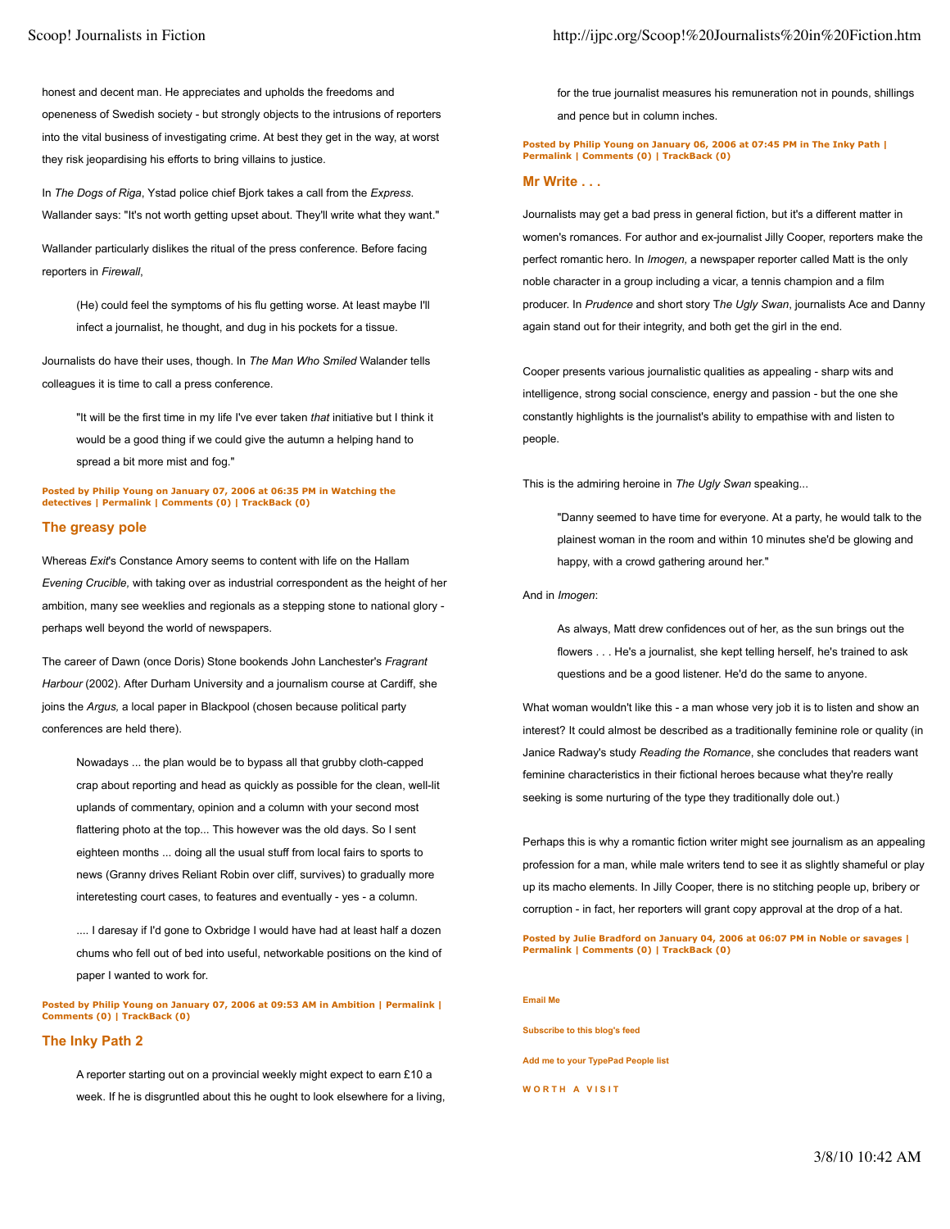honest and decent man. He appreciates and upholds the freedoms and openeness of Swedish society - but strongly objects to the intrusions of reporters into the vital business of investigating crime. At best they get in the way, at worst they risk jeopardising his efforts to bring villains to justice.

In *The Dogs of Riga*, Ystad police chief Bjork takes a call from the *Express*. Wallander says: "It's not worth getting upset about. They'll write what they want."

Wallander particularly dislikes the ritual of the press conference. Before facing reporters in *Firewall*,

(He) could feel the symptoms of his flu getting worse. At least maybe I'll infect a journalist, he thought, and dug in his pockets for a tissue.

Journalists do have their uses, though. In *The Man Who Smiled* Walander tells colleagues it is time to call a press conference.

"It will be the first time in my life I've ever taken *that* initiative but I think it would be a good thing if we could give the autumn a helping hand to spread a bit more mist and fog."

**Posted by Philip Young on January 07, 2006 at 06:35 PM in Watching the detectives | Permalink | Comments (0) | TrackBack (0)**

## **The greasy pole**

Whereas *Exit*'s Constance Amory seems to content with life on the Hallam *Evening Crucible,* with taking over as industrial correspondent as the height of her ambition, many see weeklies and regionals as a stepping stone to national glory perhaps well beyond the world of newspapers.

The career of Dawn (once Doris) Stone bookends John Lanchester's *Fragrant Harbour* (2002). After Durham University and a journalism course at Cardiff, she joins the *Argus,* a local paper in Blackpool (chosen because political party conferences are held there).

Nowadays ... the plan would be to bypass all that grubby cloth-capped crap about reporting and head as quickly as possible for the clean, well-lit uplands of commentary, opinion and a column with your second most flattering photo at the top... This however was the old days. So I sent eighteen months ... doing all the usual stuff from local fairs to sports to news (Granny drives Reliant Robin over cliff, survives) to gradually more interetesting court cases, to features and eventually - yes - a column.

.... I daresay if I'd gone to Oxbridge I would have had at least half a dozen chums who fell out of bed into useful, networkable positions on the kind of paper I wanted to work for.

**Posted by Philip Young on January 07, 2006 at 09:53 AM in Ambition | Permalink | Comments (0) | TrackBack (0)**

## **The Inky Path 2**

A reporter starting out on a provincial weekly might expect to earn £10 a week. If he is disgruntled about this he ought to look elsewhere for a living, for the true journalist measures his remuneration not in pounds, shillings and pence but in column inches.

#### **Posted by Philip Young on January 06, 2006 at 07:45 PM in The Inky Path | Permalink | Comments (0) | TrackBack (0)**

## **Mr Write . . .**

Journalists may get a bad press in general fiction, but it's a different matter in women's romances. For author and ex-journalist Jilly Cooper, reporters make the perfect romantic hero. In *Imogen,* a newspaper reporter called Matt is the only noble character in a group including a vicar, a tennis champion and a film producer. In *Prudence* and short story T*he Ugly Swan*, journalists Ace and Danny again stand out for their integrity, and both get the girl in the end.

Cooper presents various journalistic qualities as appealing - sharp wits and intelligence, strong social conscience, energy and passion - but the one she constantly highlights is the journalist's ability to empathise with and listen to people.

This is the admiring heroine in *The Ugly Swan* speaking...

"Danny seemed to have time for everyone. At a party, he would talk to the plainest woman in the room and within 10 minutes she'd be glowing and happy, with a crowd gathering around her."

And in *Imogen*:

As always, Matt drew confidences out of her, as the sun brings out the flowers . . . He's a journalist, she kept telling herself, he's trained to ask questions and be a good listener. He'd do the same to anyone.

What woman wouldn't like this - a man whose very job it is to listen and show an interest? It could almost be described as a traditionally feminine role or quality (in Janice Radway's study *Reading the Romance*, she concludes that readers want feminine characteristics in their fictional heroes because what they're really seeking is some nurturing of the type they traditionally dole out.)

Perhaps this is why a romantic fiction writer might see journalism as an appealing profession for a man, while male writers tend to see it as slightly shameful or play up its macho elements. In Jilly Cooper, there is no stitching people up, bribery or corruption - in fact, her reporters will grant copy approval at the drop of a hat.

**Posted by Julie Bradford on January 04, 2006 at 06:07 PM in Noble or savages | Permalink | Comments (0) | TrackBack (0)**

**Email Me Subscribe to this blog's feed Add me to your TypePad People list WORTH A VISIT**